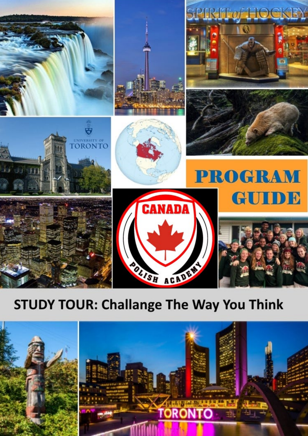

## **STUDY TOUR: Challange The Way You Think**

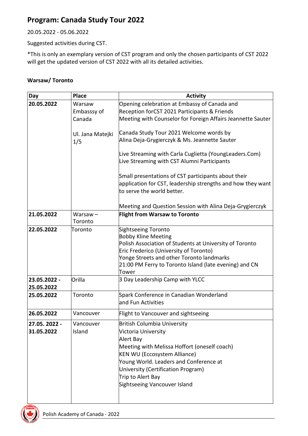## **Program: Canada Study Tour 2022**

20.05.2022 - 05.06.2022

Suggested activities during CST.

\*This is only an exemplary version of CST program and only the chosen participants of CST 2022 will get the updated version of CST 2022 with all its detailed activities.

## **Warsaw/ Toronto**

| Day                         | <b>Place</b>                    | <b>Activity</b>                                                                                                                                                                                                                                                                             |
|-----------------------------|---------------------------------|---------------------------------------------------------------------------------------------------------------------------------------------------------------------------------------------------------------------------------------------------------------------------------------------|
| 20.05.2022                  | Warsaw<br>Embasssy of<br>Canada | Opening celebration at Embassy of Canada and<br>Reception forCST 2021 Participants & Friends<br>Meeting with Counselor for Foreign Affairs Jeannette Sauter                                                                                                                                 |
|                             | Ul. Jana Matejki<br>1/5         | Canada Study Tour 2021 Welcome words by<br>Alina Deja-Grygierczyk & Ms. Jeannette Sauter                                                                                                                                                                                                    |
|                             |                                 | Live Streaming with Carla Cuglietta (YoungLeaders.Com)<br>Live Streaming with CST Alumni Participants                                                                                                                                                                                       |
|                             |                                 | Small presentations of CST participants about their<br>application for CST, leadership strengths and how they want<br>to serve the world better.                                                                                                                                            |
|                             |                                 | Meeting and Question Session with Alina Deja-Grygierczyk                                                                                                                                                                                                                                    |
| 21.05.2022                  | $Warsaw -$<br>Toronto           | <b>Flight from Warsaw to Toronto</b>                                                                                                                                                                                                                                                        |
| 22.05.2022                  | Toronto                         | Sightseeing Toronto<br><b>Bobby Kline Meeting</b><br>Polish Association of Students at University of Toronto<br>Eric Frederico (University of Toronto)<br>Yonge Streets and other Toronto landmarks<br>21:00 PM Ferry to Toronto Island (late evening) and CN<br>Tower                      |
| 23.05.2022 -<br>25.05.2022  | Orilla                          | 3 Day Leadership Camp with YLCC                                                                                                                                                                                                                                                             |
| 25.05.2022                  | Toronto                         | Spark Conference in Canadian Wonderland<br>and Fun Activities                                                                                                                                                                                                                               |
| 26.05.2022                  | Vancouver                       | Flight to Vancouver and sightseeing                                                                                                                                                                                                                                                         |
| 27.05. 2022 -<br>31.05.2022 | Vancouver<br>Island             | British Columbia University<br>Victoria University<br>Alert Bay<br>Meeting with Melissa Hoffort (oneself coach)<br><b>KEN WU (Eccosystem Alliance)</b><br>Young World. Leaders and Conference at<br>University (Certification Program)<br>Trip to Alert Bay<br>Sightseeing Vancouver Island |